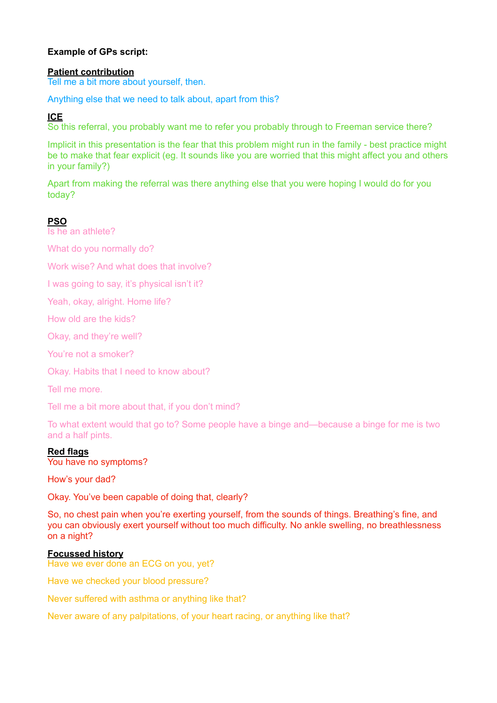# **Example of GPs script:**

### **Patient contribution**

Tell me a bit more about yourself, then.

Anything else that we need to talk about, apart from this?

# **ICE**

So this referral, you probably want me to refer you probably through to Freeman service there?

Implicit in this presentation is the fear that this problem might run in the family - best practice might be to make that fear explicit (eg. It sounds like you are worried that this might affect you and others in your family?)

Apart from making the referral was there anything else that you were hoping I would do for you today?

# **PSO**

Is he an athlete?

What do you normally do?

Work wise? And what does that involve?

I was going to say, it's physical isn't it?

Yeah, okay, alright. Home life?

How old are the kids?

Okay, and they're well?

You're not a smoker?

Okay. Habits that I need to know about?

Tell me more.

Tell me a bit more about that, if you don't mind?

To what extent would that go to? Some people have a binge and—because a binge for me is two and a half pints.

# **Red flags**

You have no symptoms?

How's your dad?

Okay. You've been capable of doing that, clearly?

So, no chest pain when you're exerting yourself, from the sounds of things. Breathing's fine, and you can obviously exert yourself without too much difficulty. No ankle swelling, no breathlessness on a night?

# **Focussed history**

Have we ever done an ECG on you, yet?

Have we checked your blood pressure?

Never suffered with asthma or anything like that?

Never aware of any palpitations, of your heart racing, or anything like that?